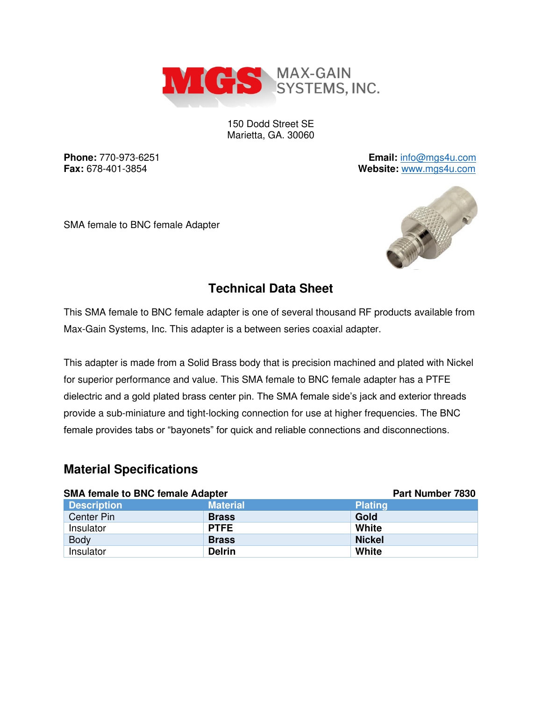

150 Dodd Street SE Marietta, GA. 30060

**Phone:** 770-973-6251 **Email:** [info@mgs4u.com](mailto:info@mgs4u.com) **Fax:** 678-401-3854 **Website:** [www.mgs4u.com](http://www.mgs4u.com/)

SMA female to BNC female Adapter



## **Technical Data Sheet**

This SMA female to BNC female adapter is one of several thousand RF products available from Max-Gain Systems, Inc. This adapter is a between series coaxial adapter.

This adapter is made from a Solid Brass body that is precision machined and plated with Nickel for superior performance and value. This SMA female to BNC female adapter has a PTFE dielectric and a gold plated brass center pin. The SMA female side's jack and exterior threads provide a sub-miniature and tight-locking connection for use at higher frequencies. The BNC female provides tabs or "bayonets" for quick and reliable connections and disconnections.

#### **Material Specifications**

| <b>SMA female to BNC female Adapter</b> |                 | Part Number 7830 |  |
|-----------------------------------------|-----------------|------------------|--|
| <b>Description</b>                      | <b>Material</b> | <b>Plating</b>   |  |
| Center Pin                              | <b>Brass</b>    | Gold             |  |
| Insulator                               | <b>PTFE</b>     | White            |  |
| <b>Body</b>                             | <b>Brass</b>    | <b>Nickel</b>    |  |
| Insulator                               | <b>Delrin</b>   | White            |  |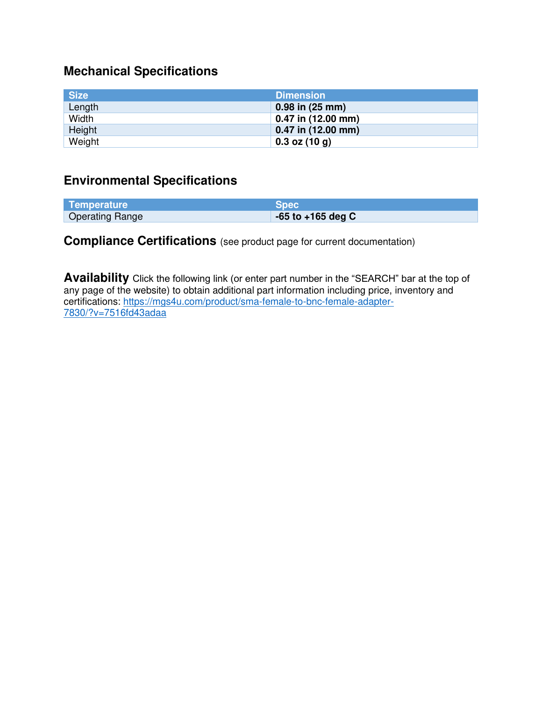# **Mechanical Specifications**

| <b>Size</b> | <b>Dimension</b>       |
|-------------|------------------------|
| Length      | $0.98$ in $(25$ mm)    |
| Width       | $0.47$ in (12.00 mm)   |
| Height      | $0.47$ in $(12.00$ mm) |
| Weight      | $0.3$ oz (10 g)        |

### **Environmental Specifications**

| Temperature            | <b>Spec</b>           |
|------------------------|-----------------------|
| <b>Operating Range</b> | $-65$ to $+165$ deg C |

### **Compliance Certifications** (see product page for current documentation)

**Availability** Click the following link (or enter part number in the "SEARCH" bar at the top of any page of the website) to obtain additional part information including price, inventory and certifications: [https://mgs4u.com/product/sma-female-to-bnc-female-adapter-](https://mgs4u.com/product/sma-female-to-bnc-female-adapter-7830/?v=7516fd43adaa)[7830/?v=7516fd43adaa](https://mgs4u.com/product/sma-female-to-bnc-female-adapter-7830/?v=7516fd43adaa)